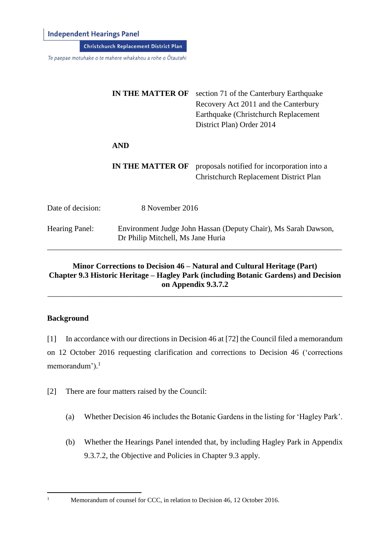**Independent Hearings Panel** 

**Christchurch Replacement District Plan** 

Te paepae motuhake o te mahere whakahou a rohe o Ōtautahi

|                       | <b>IN THE MATTER OF</b>                                                                             | section 71 of the Canterbury Earthquake<br>Recovery Act 2011 and the Canterbury<br>Earthquake (Christchurch Replacement<br>District Plan) Order 2014 |
|-----------------------|-----------------------------------------------------------------------------------------------------|------------------------------------------------------------------------------------------------------------------------------------------------------|
|                       | <b>AND</b>                                                                                          |                                                                                                                                                      |
|                       | <b>IN THE MATTER OF</b>                                                                             | proposals notified for incorporation into a<br><b>Christchurch Replacement District Plan</b>                                                         |
| Date of decision:     | 8 November 2016                                                                                     |                                                                                                                                                      |
| <b>Hearing Panel:</b> | Environment Judge John Hassan (Deputy Chair), Ms Sarah Dawson,<br>Dr Philip Mitchell, Ms Jane Huria |                                                                                                                                                      |

## **Minor Corrections to Decision 46 – Natural and Cultural Heritage (Part) Chapter 9.3 Historic Heritage – Hagley Park (including Botanic Gardens) and Decision on Appendix 9.3.7.2** \_\_\_\_\_\_\_\_\_\_\_\_\_\_\_\_\_\_\_\_\_\_\_\_\_\_\_\_\_\_\_\_\_\_\_\_\_\_\_\_\_\_\_\_\_\_\_\_\_\_\_\_\_\_\_\_\_\_\_\_\_\_\_\_\_\_\_\_\_\_\_\_\_\_\_

### **Background**

[1] In accordance with our directions in Decision 46 at [72] the Council filed a memorandum on 12 October 2016 requesting clarification and corrections to Decision 46 ('corrections memorandum').<sup>1</sup>

[2] There are four matters raised by the Council:

- (a) Whether Decision 46 includes the Botanic Gardens in the listing for 'Hagley Park'.
- (b) Whether the Hearings Panel intended that, by including Hagley Park in Appendix 9.3.7.2, the Objective and Policies in Chapter 9.3 apply.

 $\mathbf{1}$ 

Memorandum of counsel for CCC, in relation to Decision 46, 12 October 2016.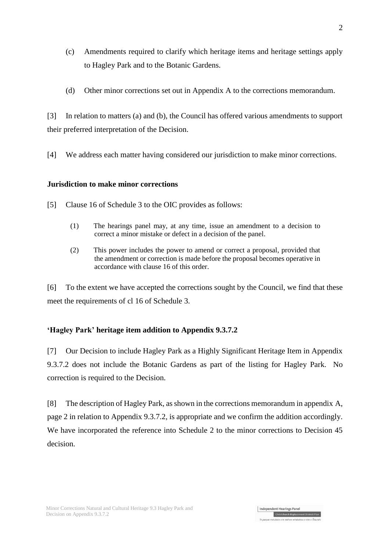- (c) Amendments required to clarify which heritage items and heritage settings apply to Hagley Park and to the Botanic Gardens.
- (d) Other minor corrections set out in Appendix A to the corrections memorandum.

[3] In relation to matters (a) and (b), the Council has offered various amendments to support their preferred interpretation of the Decision.

[4] We address each matter having considered our jurisdiction to make minor corrections.

### **Jurisdiction to make minor corrections**

- [5] Clause 16 of Schedule 3 to the OIC provides as follows:
	- (1) The hearings panel may, at any time, issue an amendment to a decision to correct a minor mistake or defect in a decision of the panel.
	- (2) This power includes the power to amend or correct a proposal, provided that the amendment or correction is made before the proposal becomes operative in accordance with [clause 16](http://www.legislation.govt.nz/regulation/public/2014/0228/latest/whole.html#DLM6189936) of this order.

[6] To the extent we have accepted the corrections sought by the Council, we find that these meet the requirements of cl 16 of Schedule 3.

# **'Hagley Park' heritage item addition to Appendix 9.3.7.2**

[7] Our Decision to include Hagley Park as a Highly Significant Heritage Item in Appendix 9.3.7.2 does not include the Botanic Gardens as part of the listing for Hagley Park. No correction is required to the Decision.

[8] The description of Hagley Park, as shown in the corrections memorandum in appendix A, page 2 in relation to Appendix 9.3.7.2, is appropriate and we confirm the addition accordingly. We have incorporated the reference into Schedule 2 to the minor corrections to Decision 45 decision.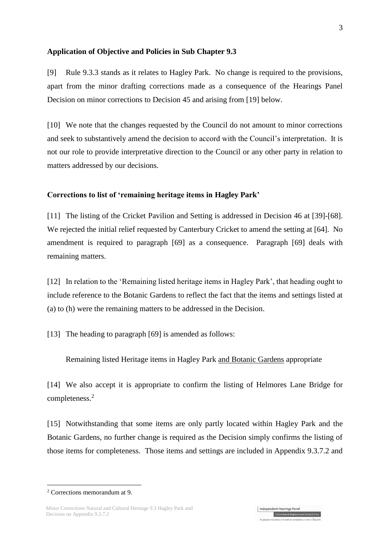#### **Application of Objective and Policies in Sub Chapter 9.3**

[9] Rule 9.3.3 stands as it relates to Hagley Park. No change is required to the provisions, apart from the minor drafting corrections made as a consequence of the Hearings Panel Decision on minor corrections to Decision 45 and arising from [\[19\]](#page-3-0) below.

[10] We note that the changes requested by the Council do not amount to minor corrections and seek to substantively amend the decision to accord with the Council's interpretation. It is not our role to provide interpretative direction to the Council or any other party in relation to matters addressed by our decisions.

#### **Corrections to list of 'remaining heritage items in Hagley Park'**

[11] The listing of the Cricket Pavilion and Setting is addressed in Decision 46 at [39]-[68]. We rejected the initial relief requested by Canterbury Cricket to amend the setting at [64]. No amendment is required to paragraph [69] as a consequence. Paragraph [69] deals with remaining matters.

[12] In relation to the 'Remaining listed heritage items in Hagley Park', that heading ought to include reference to the Botanic Gardens to reflect the fact that the items and settings listed at (a) to (h) were the remaining matters to be addressed in the Decision.

[13] The heading to paragraph [69] is amended as follows:

Remaining listed Heritage items in Hagley Park and Botanic Gardens appropriate

[14] We also accept it is appropriate to confirm the listing of Helmores Lane Bridge for completeness.<sup>2</sup>

[15] Notwithstanding that some items are only partly located within Hagley Park and the Botanic Gardens, no further change is required as the Decision simply confirms the listing of those items for completeness. Those items and settings are included in Appendix 9.3.7.2 and

1

<sup>2</sup> Corrections memorandum at 9.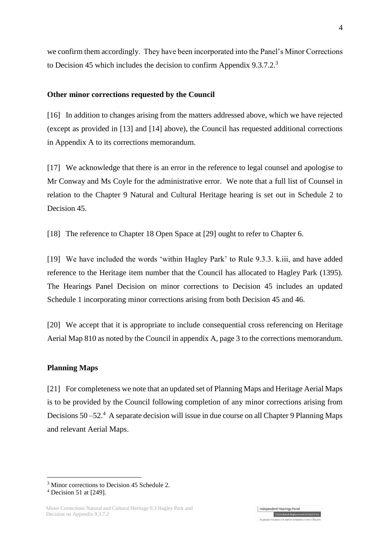we confirm them accordingly. They have been incorporated into the Panel's Minor Corrections to Decision 45 which includes the decision to confirm Appendix 9.3.7.2.<sup>3</sup>

#### **Other minor corrections requested by the Council**

[16] In addition to changes arising from the matters addressed above, which we have rejected (except as provided in [13] and [14] above), the Council has requested additional corrections in Appendix A to its corrections memorandum.

[17] We acknowledge that there is an error in the reference to legal counsel and apologise to Mr Conway and Ms Coyle for the administrative error. We note that a full list of Counsel in relation to the Chapter 9 Natural and Cultural Heritage hearing is set out in Schedule 2 to Decision 45.

<span id="page-3-0"></span>[18] The reference to Chapter 18 Open Space at [29] ought to refer to Chapter 6.

[19] We have included the words 'within Hagley Park' to Rule 9.3.3. k.iii, and have added reference to the Heritage item number that the Council has allocated to Hagley Park (1395). The Hearings Panel Decision on minor corrections to Decision 45 includes an updated Schedule 1 incorporating minor corrections arising from both Decision 45 and 46.

[20] We accept that it is appropriate to include consequential cross referencing on Heritage Aerial Map 810 as noted by the Council in appendix A, page 3 to the corrections memorandum.

#### **Planning Maps**

[21] For completeness we note that an updated set of Planning Maps and Heritage Aerial Maps is to be provided by the Council following completion of any minor corrections arising from Decisions 50 – 52.<sup>4</sup> A separate decision will issue in due course on all Chapter 9 Planning Maps and relevant Aerial Maps.

1

<sup>&</sup>lt;sup>3</sup> Minor corrections to Decision 45 Schedule 2.

<sup>4</sup> Decision 51 at [249].